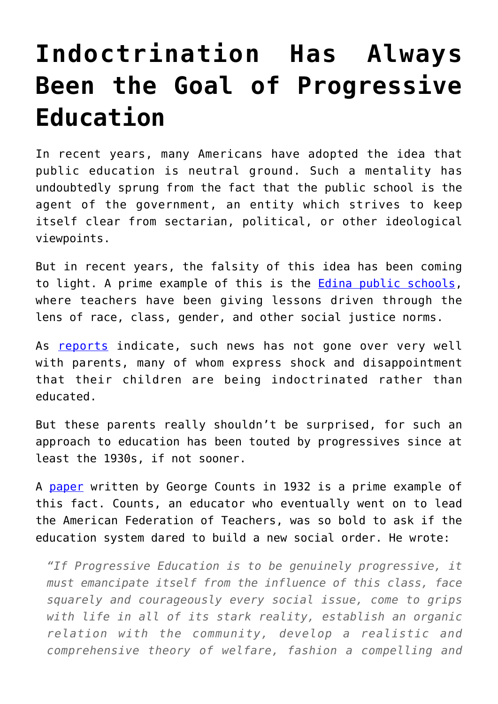## **[Indoctrination Has Always](https://intellectualtakeout.org/2017/10/indoctrination-has-always-been-the-goal-of-progressive-education/) [Been the Goal of Progressive](https://intellectualtakeout.org/2017/10/indoctrination-has-always-been-the-goal-of-progressive-education/) [Education](https://intellectualtakeout.org/2017/10/indoctrination-has-always-been-the-goal-of-progressive-education/)**

In recent years, many Americans have adopted the idea that public education is neutral ground. Such a mentality has undoubtedly sprung from the fact that the public school is the agent of the government, an entity which strives to keep itself clear from sectarian, political, or other ideological viewpoints.

But in recent years, the falsity of this idea has been coming to light. A prime example of this is the **Edina public schools**, where teachers have been giving lessons driven through the lens of race, class, gender, and other social justice norms.

As [reports](https://www.intellectualtakeout.org/article/conservatives-strike-back-against-ideological-tidal-wave-school-district) indicate, such news has not gone over very well with parents, many of whom express shock and disappointment that their children are being indoctrinated rather than educated.

But these parents really shouldn't be surprised, for such an approach to education has been touted by progressives since at least the 1930s, if not sooner.

A [paper](http://www.curezone.org/upload/PDF/Counts_George_Dare_the_School_Build_a_New_Social_Order_1932_.pdf) written by George Counts in 1932 is a prime example of this fact. Counts, an educator who eventually went on to lead the American Federation of Teachers, was so bold to ask if the education system dared to build a new social order. He wrote:

*"If Progressive Education is to be genuinely progressive, it must emancipate itself from the influence of this class, face squarely and courageously every social issue, come to grips with life in all of its stark reality, establish an organic relation with the community, develop a realistic and comprehensive theory of welfare, fashion a compelling and*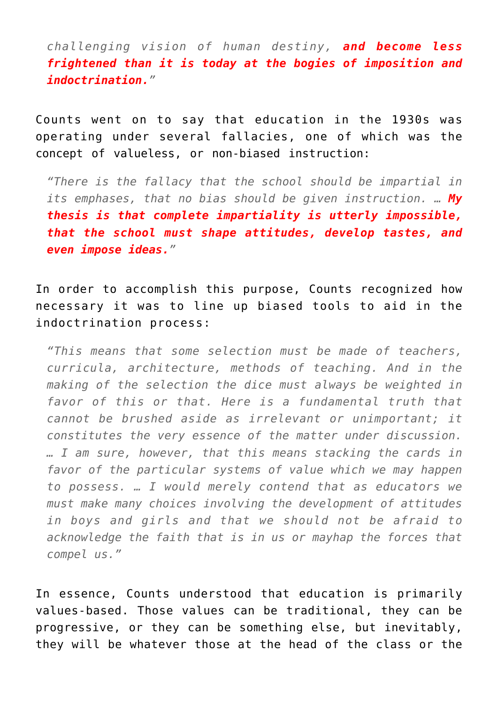*challenging vision of human destiny, and become less frightened than it is today at the bogies of imposition and indoctrination."*

Counts went on to say that education in the 1930s was operating under several fallacies, one of which was the concept of valueless, or non-biased instruction:

*"There is the fallacy that the school should be impartial in its emphases, that no bias should be given instruction. … My thesis is that complete impartiality is utterly impossible, that the school must shape attitudes, develop tastes, and even impose ideas."*

In order to accomplish this purpose, Counts recognized how necessary it was to line up biased tools to aid in the indoctrination process:

*"This means that some selection must be made of teachers, curricula, architecture, methods of teaching. And in the making of the selection the dice must always be weighted in favor of this or that. Here is a fundamental truth that cannot be brushed aside as irrelevant or unimportant; it constitutes the very essence of the matter under discussion. … I am sure, however, that this means stacking the cards in favor of the particular systems of value which we may happen to possess. … I would merely contend that as educators we must make many choices involving the development of attitudes in boys and girls and that we should not be afraid to acknowledge the faith that is in us or mayhap the forces that compel us."*

In essence, Counts understood that education is primarily values-based. Those values can be traditional, they can be progressive, or they can be something else, but inevitably, they will be whatever those at the head of the class or the